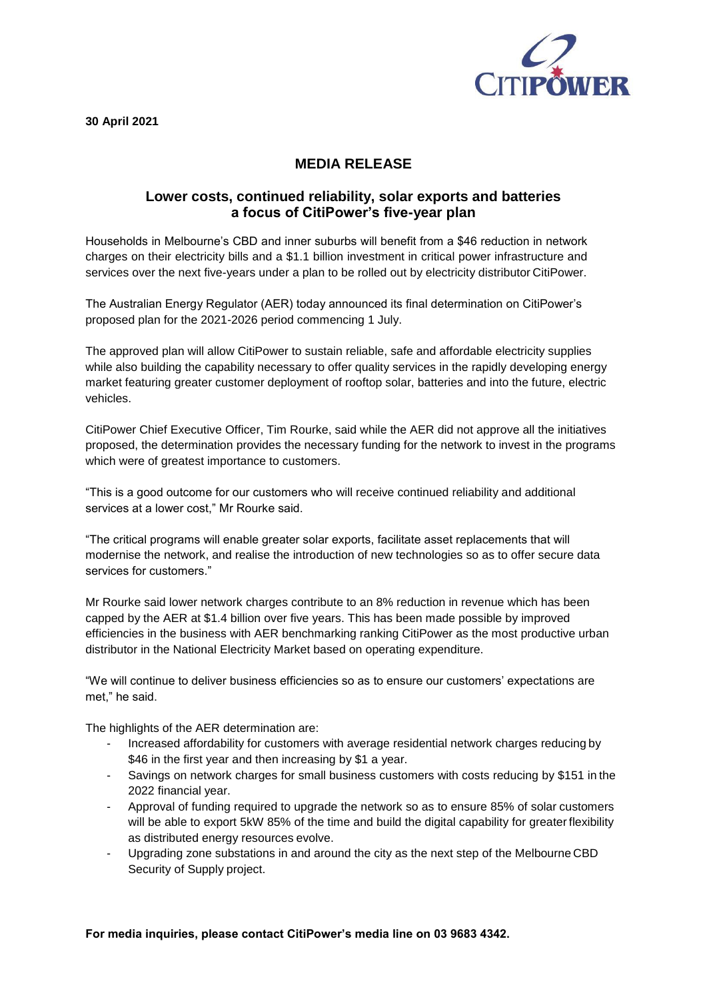**30 April 2021**



## **MEDIA RELEASE**

## **Lower costs, continued reliability, solar exports and batteries a focus of CitiPower's five-year plan**

Households in Melbourne's CBD and inner suburbs will benefit from a \$46 reduction in network charges on their electricity bills and a \$1.1 billion investment in critical power infrastructure and services over the next five-years under a plan to be rolled out by electricity distributor CitiPower.

The Australian Energy Regulator (AER) today announced its final determination on CitiPower's proposed plan for the 2021-2026 period commencing 1 July.

The approved plan will allow CitiPower to sustain reliable, safe and affordable electricity supplies while also building the capability necessary to offer quality services in the rapidly developing energy market featuring greater customer deployment of rooftop solar, batteries and into the future, electric vehicles.

CitiPower Chief Executive Officer, Tim Rourke, said while the AER did not approve all the initiatives proposed, the determination provides the necessary funding for the network to invest in the programs which were of greatest importance to customers.

"This is a good outcome for our customers who will receive continued reliability and additional services at a lower cost," Mr Rourke said.

"The critical programs will enable greater solar exports, facilitate asset replacements that will modernise the network, and realise the introduction of new technologies so as to offer secure data services for customers."

Mr Rourke said lower network charges contribute to an 8% reduction in revenue which has been capped by the AER at \$1.4 billion over five years. This has been made possible by improved efficiencies in the business with AER benchmarking ranking CitiPower as the most productive urban distributor in the National Electricity Market based on operating expenditure.

"We will continue to deliver business efficiencies so as to ensure our customers' expectations are met," he said.

The highlights of the AER determination are:

- Increased affordability for customers with average residential network charges reducing by \$46 in the first year and then increasing by \$1 a year.
- Savings on network charges for small business customers with costs reducing by \$151 in the 2022 financial year.
- Approval of funding required to upgrade the network so as to ensure 85% of solar customers will be able to export 5kW 85% of the time and build the digital capability for greater flexibility as distributed energy resources evolve.
- Upgrading zone substations in and around the city as the next step of the Melbourne CBD Security of Supply project.

**For media inquiries, please contact CitiPower's media line on 03 9683 4342.**